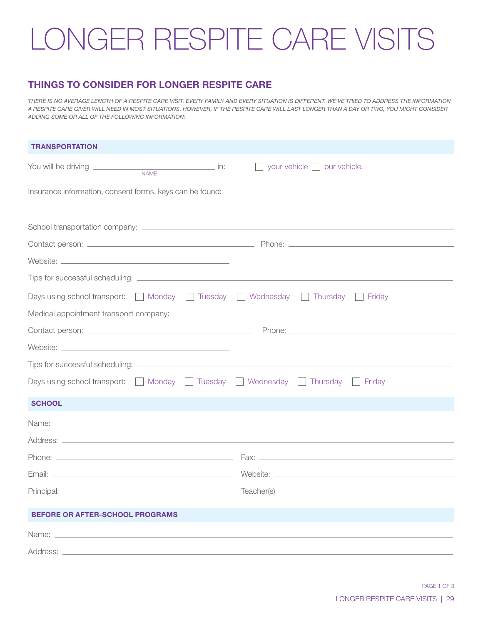## LONGER RESPITE CARE VISITS

## THINGS TO CONSIDER FOR LONGER RESPITE CARE

*THERE IS NO AVERAGE LENGTH OF A RESPITE CARE VISIT. EVERY FAMILY AND EVERY SITUATION IS DIFFERENT. WE'VE TRIED TO ADDRESS THE INFORMATION A RESPITE CARE GIVER WILL NEED IN MOST SITUATIONS. HOWEVER, IF THE RESPITE CARE WILL LAST LONGER THAN A DAY OR TWO, YOU MIGHT CONSIDER ADDING SOME OR ALL OF THE FOLLOWING INFORMATION:*

| <b>TRANSPORTATION</b>                                                                                    |                           |
|----------------------------------------------------------------------------------------------------------|---------------------------|
| NAME                                                                                                     | your vehicle our vehicle. |
|                                                                                                          |                           |
|                                                                                                          |                           |
|                                                                                                          |                           |
|                                                                                                          |                           |
|                                                                                                          |                           |
| Days using school transport: $\Box$ Monday $\Box$ Tuesday $\Box$ Wednesday $\Box$ Thursday $\Box$ Friday |                           |
|                                                                                                          |                           |
|                                                                                                          |                           |
|                                                                                                          |                           |
|                                                                                                          |                           |
| Days using school transport: $\Box$ Monday $\Box$ Tuesday $\Box$ Wednesday $\Box$ Thursday $\Box$ Friday |                           |
| <b>SCHOOL</b>                                                                                            |                           |
|                                                                                                          |                           |
|                                                                                                          |                           |
|                                                                                                          |                           |
|                                                                                                          |                           |
| Principal:                                                                                               | Teacher(s) $-$            |
| <b>BEFORE OR AFTER-SCHOOL PROGRAMS</b>                                                                   |                           |
|                                                                                                          |                           |
|                                                                                                          |                           |

PAGE 1 OF 3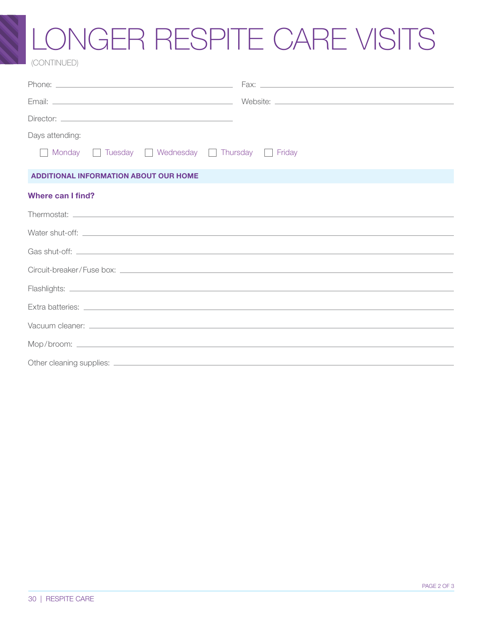## LONGER RESPITE CARE VISITS

(CONTINUED)

| Days attending:                              |  |
|----------------------------------------------|--|
| Monday Tuesday Wednesday Thursday Friday     |  |
| <b>ADDITIONAL INFORMATION ABOUT OUR HOME</b> |  |
| Where can I find?                            |  |
|                                              |  |
|                                              |  |
|                                              |  |
|                                              |  |
|                                              |  |
|                                              |  |
|                                              |  |
|                                              |  |
|                                              |  |
|                                              |  |